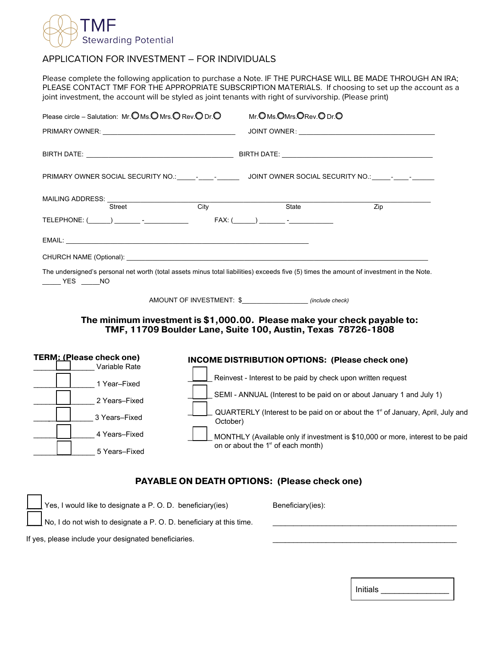

## APPLICATION FOR INVESTMENT – FOR INDIVIDUALS

Please complete the following application to purchase a Note. IF THE PURCHASE WILL BE MADE THROUGH AN IRA; PLEASE CONTACT TMF FOR THE APPROPRIATE SUBSCRIPTION MATERIALS. If choosing to set up the account as a joint investment, the account will be styled as joint tenants with right of survivorship. (Please print)

| Please circle – Salutation: Mr. O Ms. O Mrs. O Rev. O Dr. O |                                                                                                                                                                                                                                |                   | Mr. OMs. OMrs. ORev. ODr. O |                              |                                                                                                                                          |
|-------------------------------------------------------------|--------------------------------------------------------------------------------------------------------------------------------------------------------------------------------------------------------------------------------|-------------------|-----------------------------|------------------------------|------------------------------------------------------------------------------------------------------------------------------------------|
|                                                             |                                                                                                                                                                                                                                |                   |                             |                              |                                                                                                                                          |
|                                                             |                                                                                                                                                                                                                                |                   |                             |                              |                                                                                                                                          |
|                                                             |                                                                                                                                                                                                                                |                   |                             |                              |                                                                                                                                          |
|                                                             | MAILING ADDRESS: University of Anti-<br>Street                                                                                                                                                                                 | $\overline{City}$ |                             | State                        | Zip                                                                                                                                      |
|                                                             |                                                                                                                                                                                                                                |                   |                             | $FAX: (\_\_) \_\_ \_\_ \_\_$ |                                                                                                                                          |
|                                                             |                                                                                                                                                                                                                                |                   |                             |                              |                                                                                                                                          |
|                                                             | CHURCH NAME (Optional): example and a series of the series of the series of the series of the series of the series of the series of the series of the series of the series of the series of the series of the series of the se |                   |                             |                              |                                                                                                                                          |
| NO VES NO                                                   |                                                                                                                                                                                                                                |                   |                             |                              | The undersigned's personal net worth (total assets minus total liabilities) exceeds five (5) times the amount of investment in the Note. |

AMOUNT OF INVESTMENT: \$\_\_\_\_\_\_\_\_\_\_\_\_\_\_\_\_\_\_ *(include check)* 

## **The minimum investment is \$1,000.00. Please make your check payable to: TMF, 11709 Boulder Lane, Suite 100, Austin, Texas 78726-1808**

| TERM: (Please check one)<br>Variable Rate | INCOME DISTRIBUTION OPTIONS: (Please check one)                                                        |  |  |  |  |
|-------------------------------------------|--------------------------------------------------------------------------------------------------------|--|--|--|--|
| Year–Fixed                                | Reinvest - Interest to be paid by check upon written request                                           |  |  |  |  |
| 2 Years-Fixed                             | SEMI - ANNUAL (Interest to be paid on or about January 1 and July 1)                                   |  |  |  |  |
| 3 Years-Fixed                             | QUARTERLY (Interest to be paid on or about the 1 <sup>st</sup> of January, April, July and<br>October) |  |  |  |  |
| 4 Years-Fixed                             | MONTHLY (Available only if investment is \$10,000 or more, interest to be paid                         |  |  |  |  |
| 5 Years-Fixed                             | on or about the 1 <sup>st</sup> of each month)                                                         |  |  |  |  |

## **PAYABLE ON DEATH OPTIONS: (Please check one)**

|  | $\vert$ Yes, I would like to designate a P.O.D. beneficiary (ies)          | Beneficiary(ies): |
|--|----------------------------------------------------------------------------|-------------------|
|  | $\Box$ No, I do not wish to designate a P. O. D. beneficiary at this time. |                   |
|  | If yes, please include your designated beneficiaries.                      |                   |

Initials \_